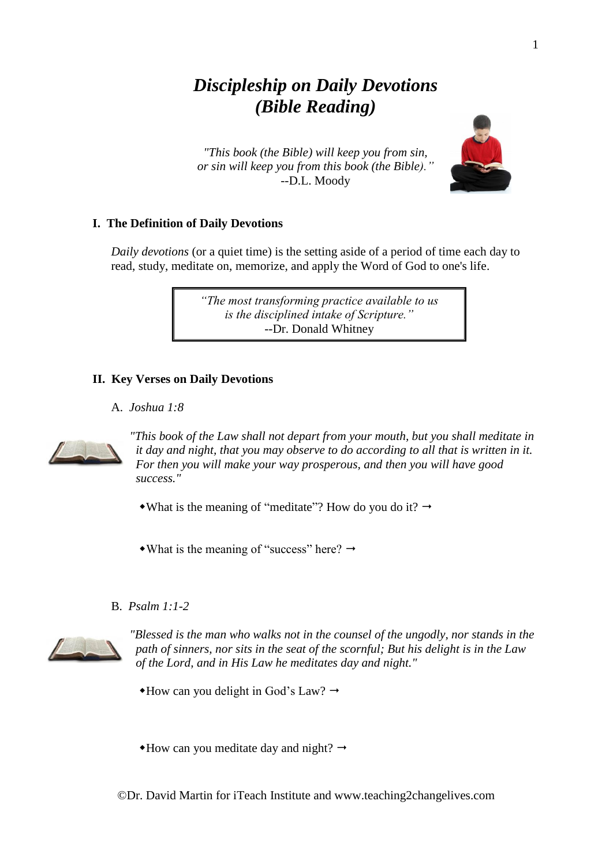# *Discipleship on Daily Devotions (Bible Reading)*

*"This book (the Bible) will keep you from sin, or sin will keep you from this book (the Bible)."* --D.L. Moody



# **I. The Definition of Daily Devotions**

*Daily devotions* (or a quiet time) is the setting aside of a period of time each day to read, study, meditate on, memorize, and apply the Word of God to one's life.

> *"The most transforming practice available to us is the disciplined intake of Scripture."* --Dr. Donald Whitney

#### **II. Key Verses on Daily Devotions**

#### A. *Joshua 1:8*



*"This book of the Law shall not depart from your mouth, but you shall meditate in it day and night, that you may observe to do according to all that is written in it. For then you will make your way prosperous, and then you will have good success."*

- What is the meaning of "meditate"? How do you do it?  $\rightarrow$
- $\bullet$  What is the meaning of "success" here?  $\rightarrow$

### B. *Psalm 1:1-2*



*"Blessed is the man who walks not in the counsel of the ungodly, nor stands in the path of sinners, nor sits in the seat of the scornful; But his delight is in the Law of the Lord, and in His Law he meditates day and night."*

- $\triangle$ How can you delight in God's Law?  $\rightarrow$
- $*$ How can you meditate day and night?  $\rightarrow$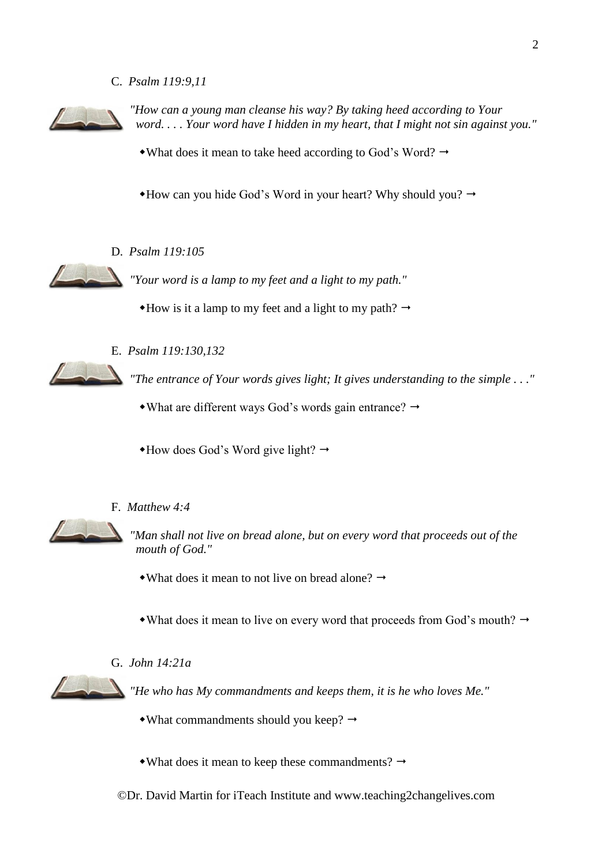C. *Psalm 119:9,11*



*"How can a young man cleanse his way? By taking heed according to Your word. . . . Your word have I hidden in my heart, that I might not sin against you."*

• What does it mean to take heed according to God's Word?  $\rightarrow$ 

 $*$ How can you hide God's Word in your heart? Why should you?  $\rightarrow$ 

D. *Psalm 119:105*

*"Your word is a lamp to my feet and a light to my path."*

 $*$ How is it a lamp to my feet and a light to my path?  $\rightarrow$ 



E. *Psalm 119:130,132*

*"The entrance of Your words gives light; It gives understanding to the simple . . ."*

 $\bullet$  What are different ways God's words gain entrance?  $\rightarrow$ 

 $\triangleleft$ How does God's Word give light?  $\rightarrow$ 

# F. *Matthew 4:4*



*"Man shall not live on bread alone, but on every word that proceeds out of the mouth of God."*

• What does it mean to not live on bread alone?  $\rightarrow$ 

• What does it mean to live on every word that proceeds from God's mouth?  $\rightarrow$ 

### G. *John 14:21a*



*"He who has My commandments and keeps them, it is he who loves Me."*

- $\bullet$ What commandments should you keep?  $\rightarrow$
- What does it mean to keep these commandments?  $\rightarrow$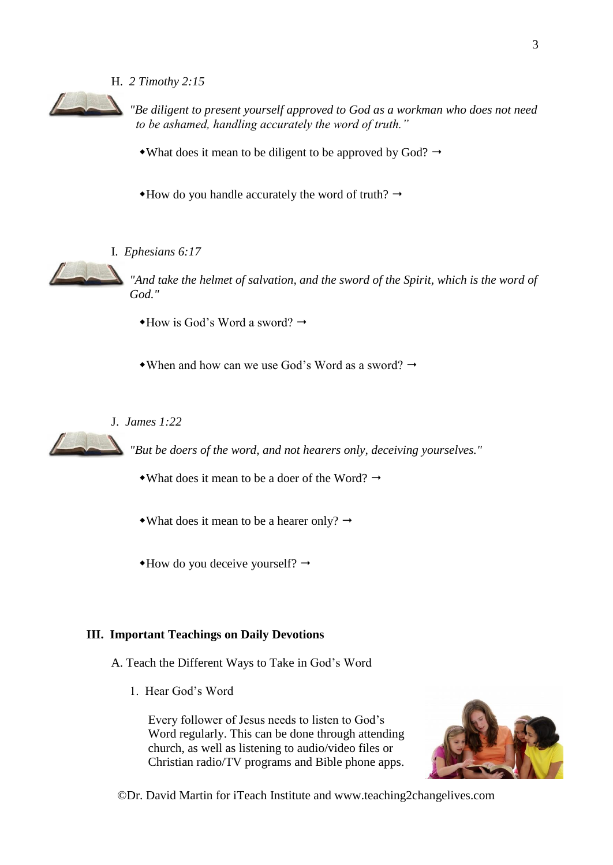#### H. *2 Timothy 2:15*



*"Be diligent to present yourself approved to God as a workman who does not need to be ashamed, handling accurately the word of truth."*

• What does it mean to be diligent to be approved by God?  $\rightarrow$ 

 $*$ How do you handle accurately the word of truth?  $\rightarrow$ 

#### I. *Ephesians 6:17*



 $\overline{\phantom{a}}$ 

*"And take the helmet of salvation, and the sword of the Spirit, which is the word of God."*

- $\rightarrow$ How is God's Word a sword?  $\rightarrow$
- $\bullet$  When and how can we use God's Word as a sword?  $\rightarrow$

J. *James 1:22*

*"But be doers of the word, and not hearers only, deceiving yourselves."*

- What does it mean to be a doer of the Word?  $\rightarrow$
- What does it mean to be a hearer only?  $\rightarrow$
- $*$ How do you deceive yourself?  $\rightarrow$

#### **III. Important Teachings on Daily Devotions**

- A. Teach the Different Ways to Take in God's Word
	- 1. Hear God's Word

Every follower of Jesus needs to listen to God's Word regularly. This can be done through attending church, as well as listening to audio/video files or Christian radio/TV programs and Bible phone apps.

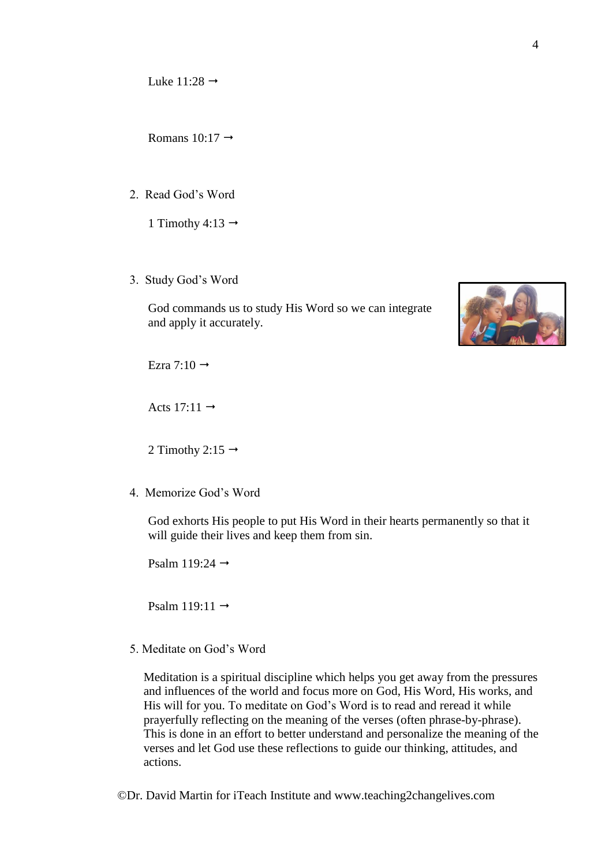Luke  $11:28 \rightarrow$ 

Romans  $10:17 \rightarrow$ 

2. Read God's Word

1 Timothy 4:13  $\rightarrow$ 

3. Study God's Word

God commands us to study His Word so we can integrate and apply it accurately.



Ezra 7:10  $\rightarrow$ 

Acts 17:11  $\rightarrow$ 

2 Timothy 2:15  $\rightarrow$ 

4. Memorize God's Word

God exhorts His people to put His Word in their hearts permanently so that it will guide their lives and keep them from sin.

Psalm 119:24  $\rightarrow$ 

Psalm 119:11  $\rightarrow$ 

5. Meditate on God's Word

Meditation is a spiritual discipline which helps you get away from the pressures and influences of the world and focus more on God, His Word, His works, and His will for you. To meditate on God's Word is to read and reread it while prayerfully reflecting on the meaning of the verses (often phrase-by-phrase). This is done in an effort to better understand and personalize the meaning of the verses and let God use these reflections to guide our thinking, attitudes, and actions.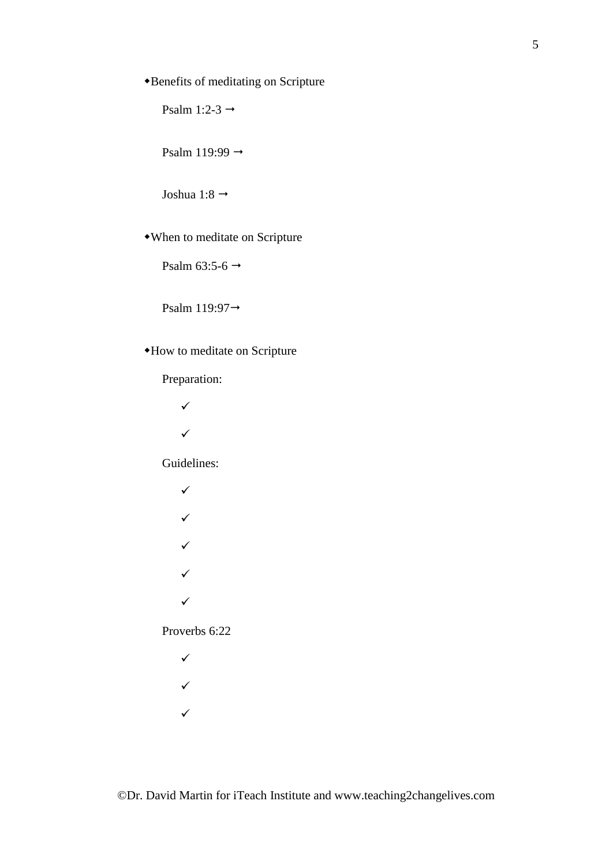# Benefits of meditating on Scripture

Psalm 1:2-3  $\rightarrow$ 

Psalm 119:99  $\rightarrow$ 

Joshua 1:8  $\rightarrow$ 

When to meditate on Scripture

Psalm 63:5-6  $\rightarrow$ 

Psalm 119:97

# How to meditate on Scripture

Preparation:

- ✓
- ✓

Guidelines:

✓ ✓ ✓ ✓ ✓

Proverbs 6:22

- ✓
- ✓
- 
- ✓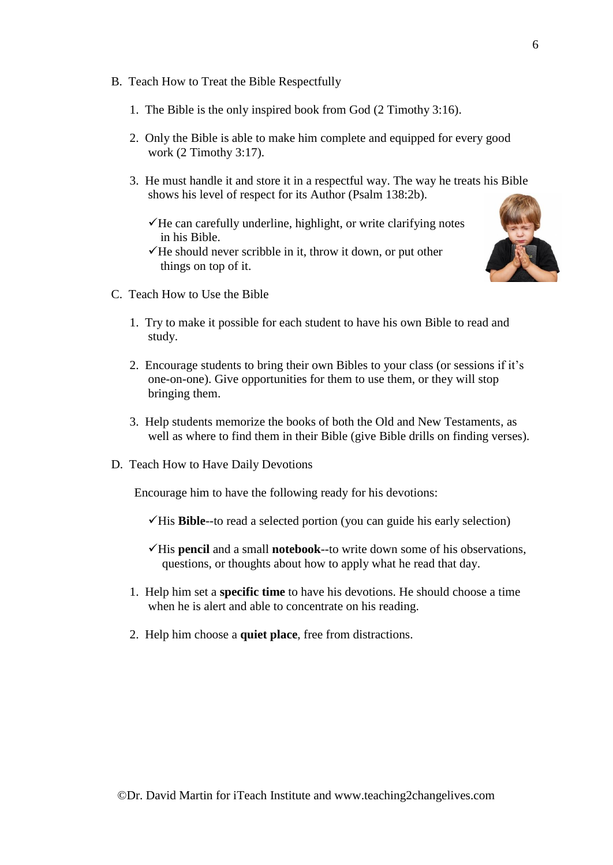- B. Teach How to Treat the Bible Respectfully
	- 1. The Bible is the only inspired book from God (2 Timothy 3:16).
	- 2. Only the Bible is able to make him complete and equipped for every good work (2 Timothy 3:17).
	- 3. He must handle it and store it in a respectful way. The way he treats his Bible shows his level of respect for its Author (Psalm 138:2b).
		- ✓He can carefully underline, highlight, or write clarifying notes in his Bible.
		- $\checkmark$  He should never scribble in it, throw it down, or put other things on top of it.



- C. Teach How to Use the Bible
	- 1. Try to make it possible for each student to have his own Bible to read and study.
	- 2. Encourage students to bring their own Bibles to your class (or sessions if it's one-on-one). Give opportunities for them to use them, or they will stop bringing them.
	- 3. Help students memorize the books of both the Old and New Testaments, as well as where to find them in their Bible (give Bible drills on finding verses).
- D. Teach How to Have Daily Devotions

Encourage him to have the following ready for his devotions:

- ✓His **Bible**--to read a selected portion (you can guide his early selection)
- ✓His **pencil** and a small **notebook**--to write down some of his observations, questions, or thoughts about how to apply what he read that day.
- 1. Help him set a **specific time** to have his devotions. He should choose a time when he is alert and able to concentrate on his reading.
- 2. Help him choose a **quiet place**, free from distractions.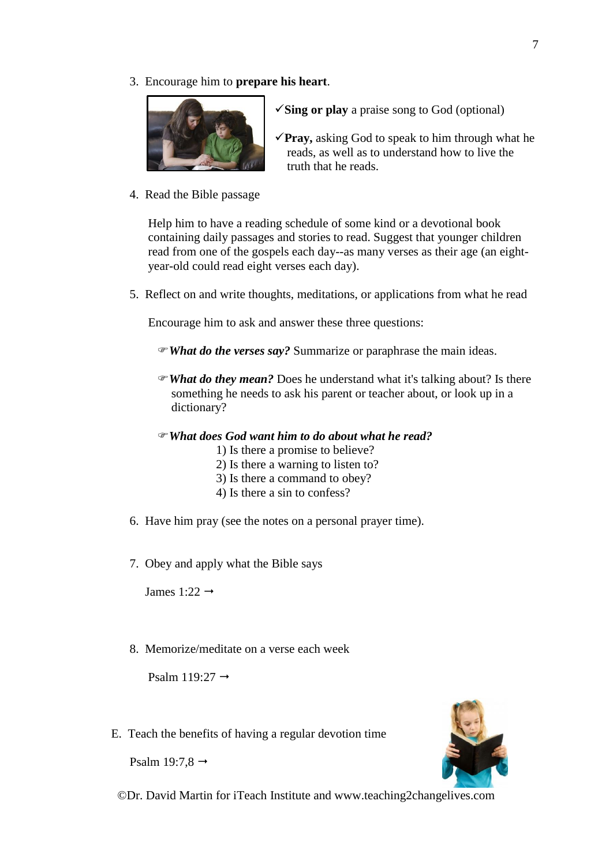3. Encourage him to **prepare his heart**.



- ✓**Sing or play** a praise song to God (optional)
- ✓**Pray,** asking God to speak to him through what he reads, as well as to understand how to live the truth that he reads.
- 4. Read the Bible passage

Help him to have a reading schedule of some kind or a devotional book containing daily passages and stories to read. Suggest that younger children read from one of the gospels each day--as many verses as their age (an eightyear-old could read eight verses each day).

5. Reflect on and write thoughts, meditations, or applications from what he read

Encourage him to ask and answer these three questions:

*What do the verses say?* Summarize or paraphrase the main ideas.

- *What do they mean?* Does he understand what it's talking about? Is there something he needs to ask his parent or teacher about, or look up in a dictionary?
- *What does God want him to do about what he read?*
	- 1) Is there a promise to believe?
	- 2) Is there a warning to listen to?
	- 3) Is there a command to obey?
	- 4) Is there a sin to confess?
- 6. Have him pray (see the notes on a personal prayer time).
- 7. Obey and apply what the Bible says

James 1:22  $\rightarrow$ 

8. Memorize/meditate on a verse each week

Psalm  $119:27 \rightarrow$ 

E. Teach the benefits of having a regular devotion time

Psalm 19:7,8  $\rightarrow$